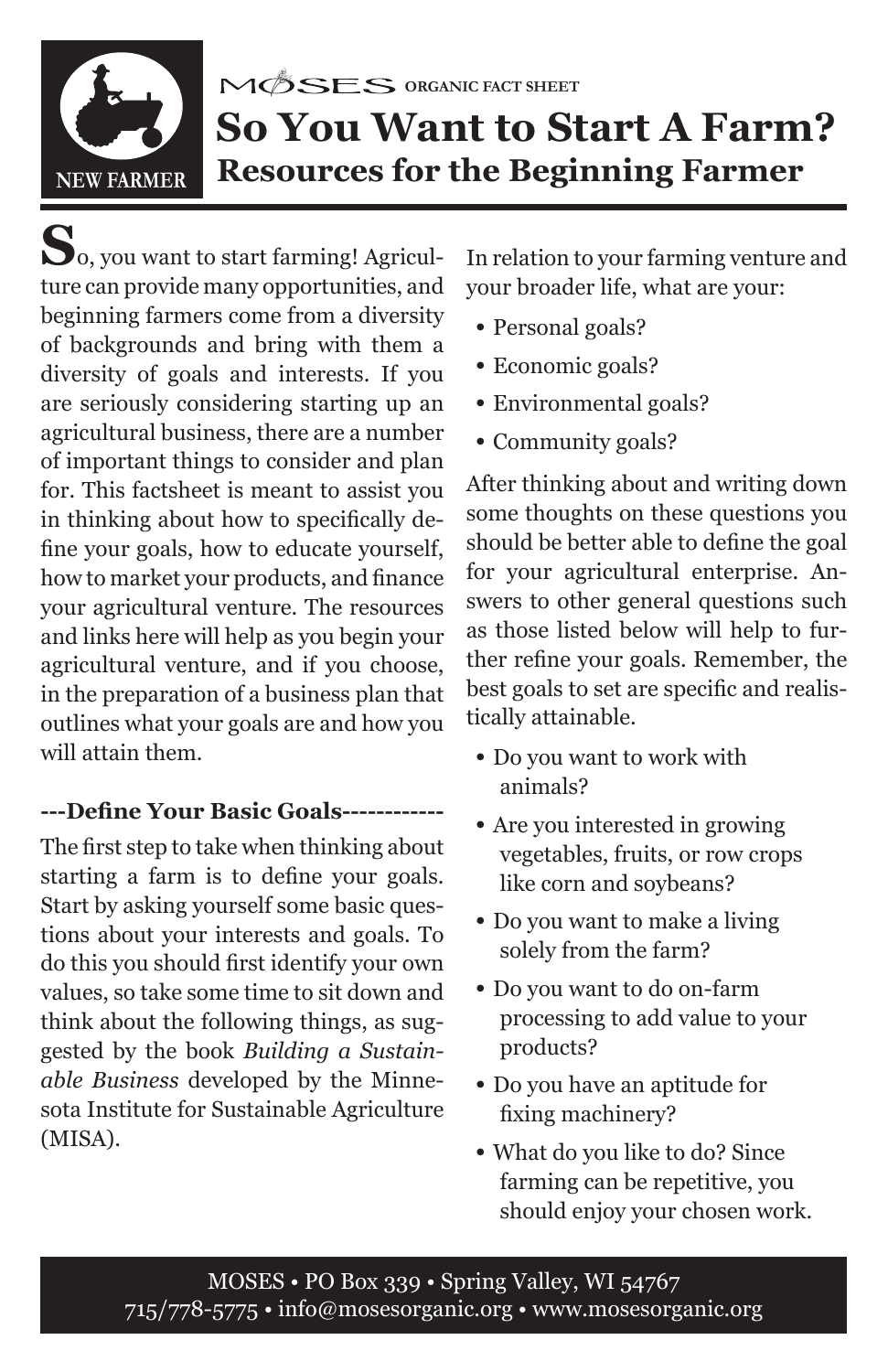

 $\mathbf{S}_{\text{o, you want to start farming! Agriculture and$ ture can provide many opportunities, and beginning farmers come from a diversity of backgrounds and bring with them a diversity of goals and interests. If you are seriously considering starting up an agricultural business, there are a number of important things to consider and plan for. This factsheet is meant to assist you in thinking about how to specifically define your goals, how to educate yourself, how to market your products, and finance your agricultural venture. The resources and links here will help as you begin your agricultural venture, and if you choose, in the preparation of a business plan that outlines what your goals are and how you will attain them.

#### **---Define Your Basic Goals------------**

The first step to take when thinking about starting a farm is to define your goals. Start by asking yourself some basic questions about your interests and goals. To do this you should first identify your own values, so take some time to sit down and think about the following things, as suggested by the book *Building a Sustainable Business* developed by the Minnesota Institute for Sustainable Agriculture (MISA).

In relation to your farming venture and your broader life, what are your:

- Personal goals? •
- Economic goals?
- Environmental goals? •
- Community goals?

After thinking about and writing down some thoughts on these questions you should be better able to define the goal for your agricultural enterprise. Answers to other general questions such as those listed below will help to further refine your goals. Remember, the best goals to set are specific and realistically attainable.

- Do you want to work with animals?
- Are you interested in growing vegetables, fruits, or row crops like corn and soybeans?
- Do you want to make a living solely from the farm?
- Do you want to do on-farm processing to add value to your products?
- Do you have an aptitude for fixing machinery?
- What do you like to do? Since •farming can be repetitive, you should enjoy your chosen work.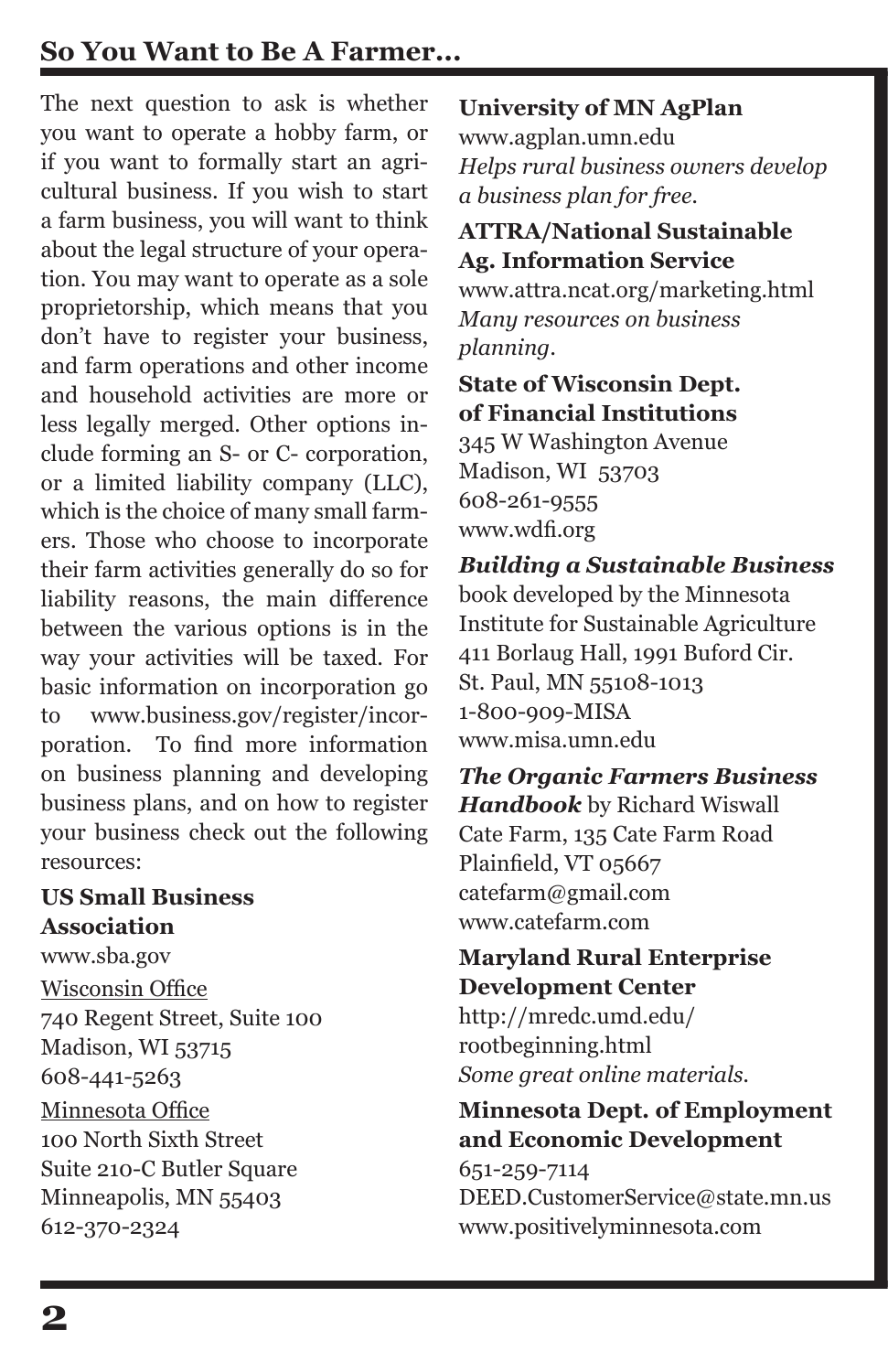## **So You Want to Be A Farmer...**

The next question to ask is whether you want to operate a hobby farm, or if you want to formally start an agricultural business. If you wish to start a farm business, you will want to think about the legal structure of your operation. You may want to operate as a sole proprietorship, which means that you don't have to register your business, and farm operations and other income and household activities are more or less legally merged. Other options include forming an S- or C- corporation, or a limited liability company (LLC), which is the choice of many small farmers. Those who choose to incorporate their farm activities generally do so for liability reasons, the main difference between the various options is in the way your activities will be taxed. For basic information on incorporation go to www.business.gov/register/incorporation. To find more information on business planning and developing business plans, and on how to register your business check out the following resources:

#### **US Small Business Association**

www.sba.gov Wisconsin Office 740 Regent Street, Suite 100 Madison, WI 53715 608-441-5263 Minnesota Office 100 North Sixth Street Suite 210-C Butler Square Minneapolis, MN 55403 612-370-2324

**University of MN AgPlan** www.agplan.umn.edu *Helps rural business owners develop a business plan for free.*

#### **ATTRA/National Sustainable Ag. Information Service**  www.attra.ncat.org/marketing.html *Many resources on business*

*planning.* 

#### **State of Wisconsin Dept. of Financial Institutions**

345 W Washington Avenue Madison, WI 53703 608-261-9555 www.wdfi.org

#### *Building a Sustainable Business*  book developed by the Minnesota Institute for Sustainable Agriculture 411 Borlaug Hall, 1991 Buford Cir. St. Paul, MN 55108-1013 1-800-909-MISA www.misa.umn.edu

*The Organic Farmers Business Handbook* by Richard Wiswall Cate Farm, 135 Cate Farm Road Plainfield, VT 05667 catefarm@gmail.com www.catefarm.com

## **Maryland Rural Enterprise Development Center**

http://mredc.umd.edu/ rootbeginning.html *Some great online materials.*

## **Minnesota Dept. of Employment and Economic Development**

651-259-7114 DEED.CustomerService@state.mn.us www.positivelyminnesota.com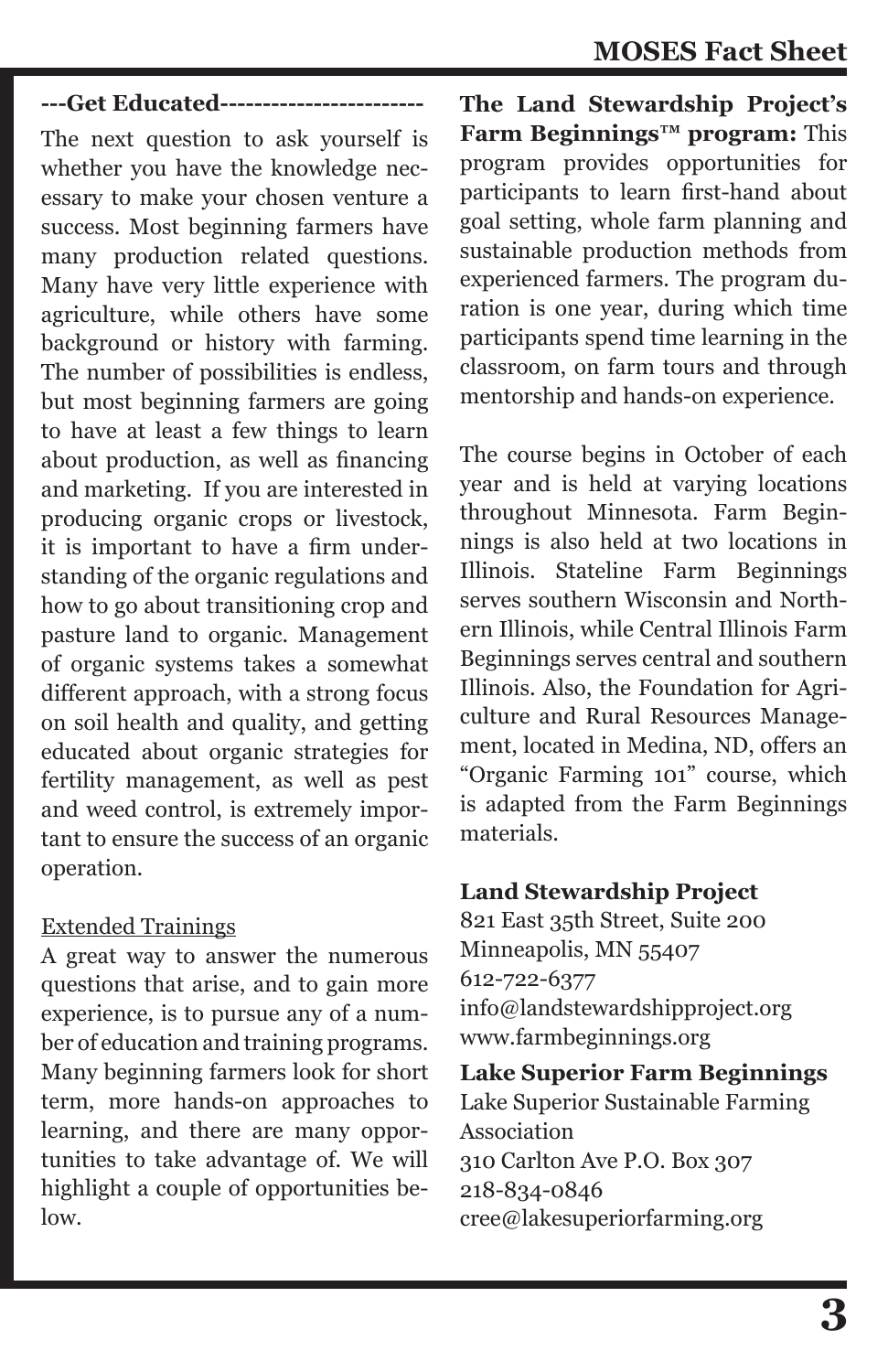#### **---Get Educated------------------------**

The next question to ask yourself is whether you have the knowledge necessary to make your chosen venture a success. Most beginning farmers have many production related questions. Many have very little experience with agriculture, while others have some background or history with farming. The number of possibilities is endless, but most beginning farmers are going to have at least a few things to learn about production, as well as financing and marketing. If you are interested in producing organic crops or livestock, it is important to have a firm understanding of the organic regulations and how to go about transitioning crop and pasture land to organic. Management of organic systems takes a somewhat different approach, with a strong focus on soil health and quality, and getting educated about organic strategies for fertility management, as well as pest and weed control, is extremely important to ensure the success of an organic operation.

#### Extended Trainings

A great way to answer the numerous questions that arise, and to gain more experience, is to pursue any of a number of education and training programs. Many beginning farmers look for short term, more hands-on approaches to learning, and there are many opportunities to take advantage of. We will highlight a couple of opportunities below.

**The Land Stewardship Project's Farm Beginnings™ program:** This program provides opportunities for participants to learn first-hand about goal setting, whole farm planning and sustainable production methods from experienced farmers. The program duration is one year, during which time participants spend time learning in the classroom, on farm tours and through mentorship and hands-on experience.

The course begins in October of each year and is held at varying locations throughout Minnesota. Farm Beginnings is also held at two locations in Illinois. Stateline Farm Beginnings serves southern Wisconsin and Northern Illinois, while Central Illinois Farm Beginnings serves central and southern Illinois. Also, the Foundation for Agriculture and Rural Resources Management, located in Medina, ND, offers an "Organic Farming 101" course, which is adapted from the Farm Beginnings materials.

#### **Land Stewardship Project**

821 East 35th Street, Suite 200 Minneapolis, MN 55407 612-722-6377 info@landstewardshipproject.org www.farmbeginnings.org

**Lake Superior Farm Beginnings** Lake Superior Sustainable Farming Association 310 Carlton Ave P.O. Box 307 218-834-0846 cree@lakesuperiorfarming.org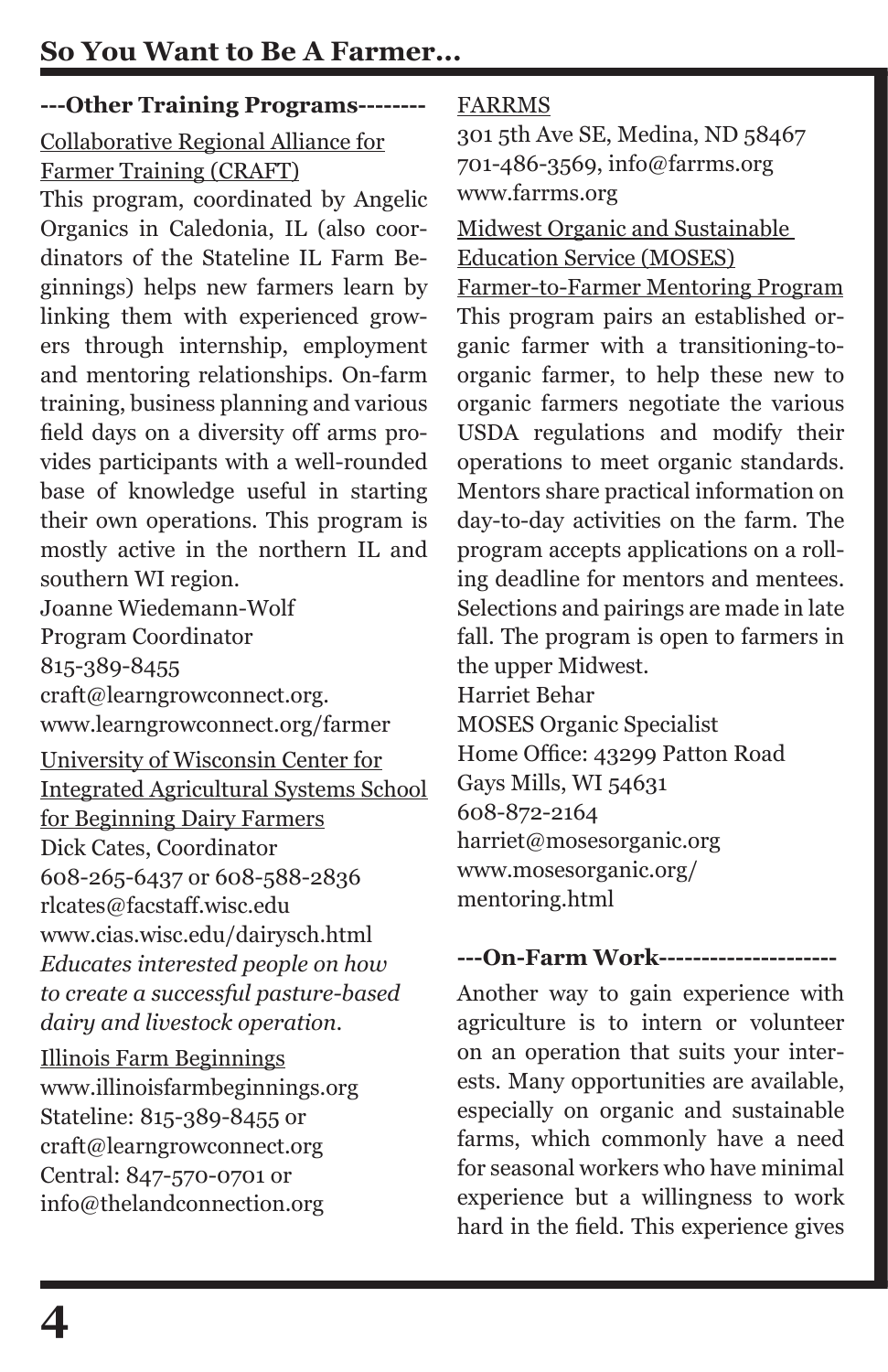#### **---Other Training Programs--------**

## Collaborative Regional Alliance for Farmer Training (CRAFT)

This program, coordinated by Angelic Organics in Caledonia, IL (also coordinators of the Stateline IL Farm Beginnings) helps new farmers learn by linking them with experienced growers through internship, employment and mentoring relationships. On-farm training, business planning and various field days on a diversity off arms provides participants with a well-rounded base of knowledge useful in starting their own operations. This program is mostly active in the northern IL and southern WI region.

Joanne Wiedemann-Wolf Program Coordinator

815-389-8455 craft@learngrowconnect.org. www.learngrowconnect.org/farmer

University of Wisconsin Center for Integrated Agricultural Systems School for Beginning Dairy Farmers Dick Cates, Coordinator 608-265-6437 or 608-588-2836 rlcates@facstaff.wisc.edu www.cias.wisc.edu/dairysch.html *Educates interested people on how to create a successful pasture-based dairy and livestock operation.*

Illinois Farm Beginnings www.illinoisfarmbeginnings.org Stateline: 815-389-8455 or craft@learngrowconnect.org Central: 847-570-0701 or info@thelandconnection.org

## FARRMS

301 5th Ave SE, Medina, ND 58467 701-486-3569, info@farrms.org www.farrms.org

#### Midwest Organic and Sustainable Education Service (MOSES)

Farmer-to-Farmer Mentoring Program This program pairs an established organic farmer with a transitioning-toorganic farmer, to help these new to organic farmers negotiate the various USDA regulations and modify their operations to meet organic standards. Mentors share practical information on day-to-day activities on the farm. The program accepts applications on a rolling deadline for mentors and mentees. Selections and pairings are made in late fall. The program is open to farmers in the upper Midwest. Harriet Behar MOSES Organic Specialist Home Office: 43299 Patton Road Gays Mills, WI 54631 608-872-2164 harriet@mosesorganic.org www.mosesorganic.org/ mentoring.html

## **---On-Farm Work---------------------**

Another way to gain experience with agriculture is to intern or volunteer on an operation that suits your interests. Many opportunities are available, especially on organic and sustainable farms, which commonly have a need for seasonal workers who have minimal experience but a willingness to work hard in the field. This experience gives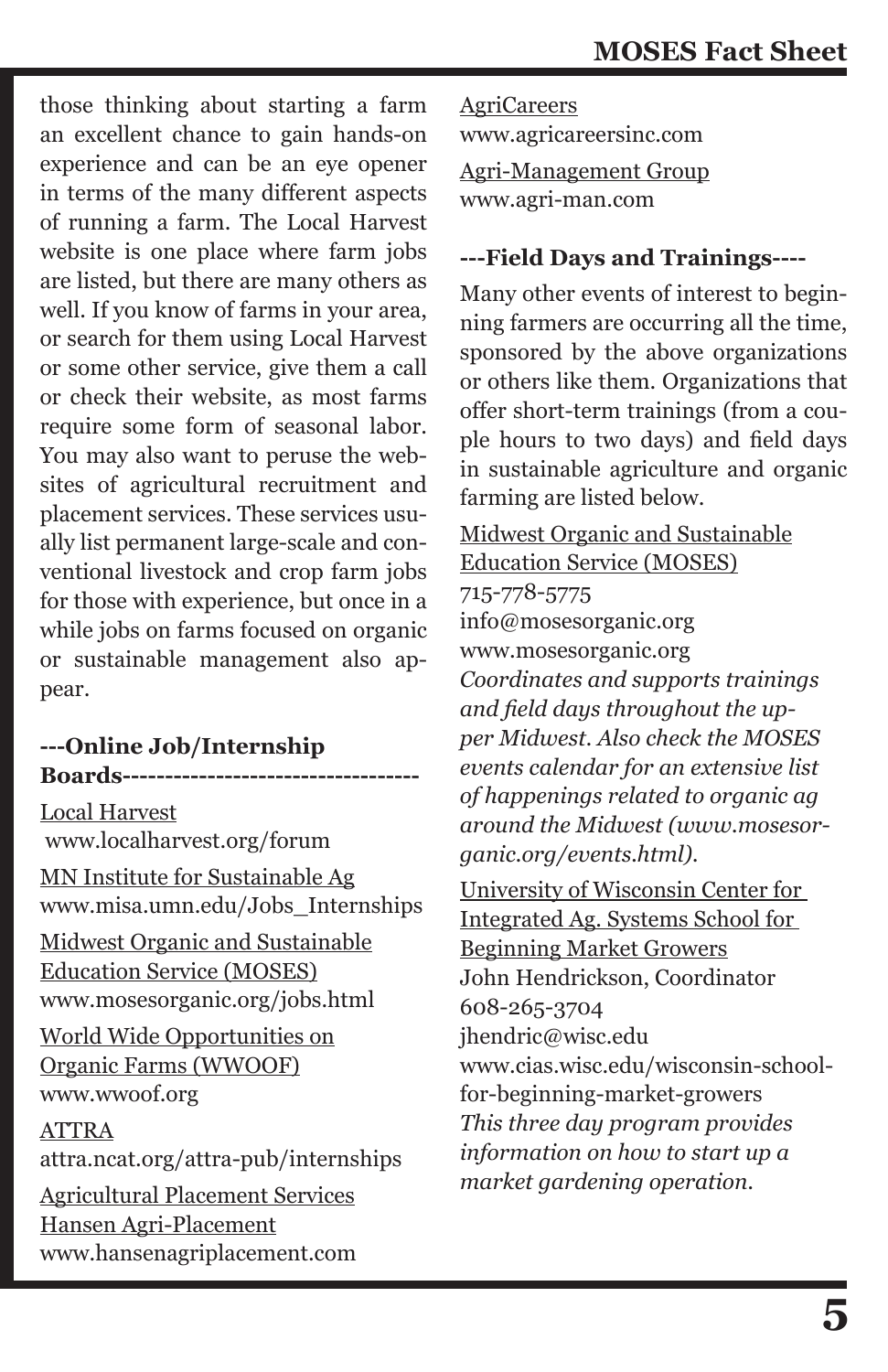those thinking about starting a farm an excellent chance to gain hands-on experience and can be an eye opener in terms of the many different aspects of running a farm. The Local Harvest website is one place where farm jobs are listed, but there are many others as well. If you know of farms in your area, or search for them using Local Harvest or some other service, give them a call or check their website, as most farms require some form of seasonal labor. You may also want to peruse the websites of agricultural recruitment and placement services. These services usually list permanent large-scale and conventional livestock and crop farm jobs for those with experience, but once in a while jobs on farms focused on organic or sustainable management also appear.

#### **---Online Job/Internship Boards-----------------------------------**

Local Harvest www.localharvest.org/forum MN Institute for Sustainable Ag www.misa.umn.edu/Jobs\_Internships Midwest Organic and Sustainable Education Service (MOSES) www.mosesorganic.org/jobs.html World Wide Opportunities on Organic Farms (WWOOF) www.wwoof.org ATTRA

attra.ncat.org/attra-pub/internships Agricultural Placement Services Hansen Agri-Placement www.hansenagriplacement.com

**AgriCareers** www.agricareersinc.com Agri-Management Group www.agri-man.com

#### **---Field Days and Trainings----**

Many other events of interest to beginning farmers are occurring all the time, sponsored by the above organizations or others like them. Organizations that offer short-term trainings (from a couple hours to two days) and field days in sustainable agriculture and organic farming are listed below.

Midwest Organic and Sustainable Education Service (MOSES)

715-778-5775

info@mosesorganic.org www.mosesorganic.org *Coordinates and supports trainings and field days throughout the upper Midwest. Also check the MOSES events calendar for an extensive list of happenings related to organic ag around the Midwest (www.mosesorganic.org/events.html).*

University of Wisconsin Center for Integrated Ag. Systems School for Beginning Market Growers John Hendrickson, Coordinator 608-265-3704 jhendric@wisc.edu www.cias.wisc.edu/wisconsin-schoolfor-beginning-market-growers *This three day program provides information on how to start up a market gardening operation.*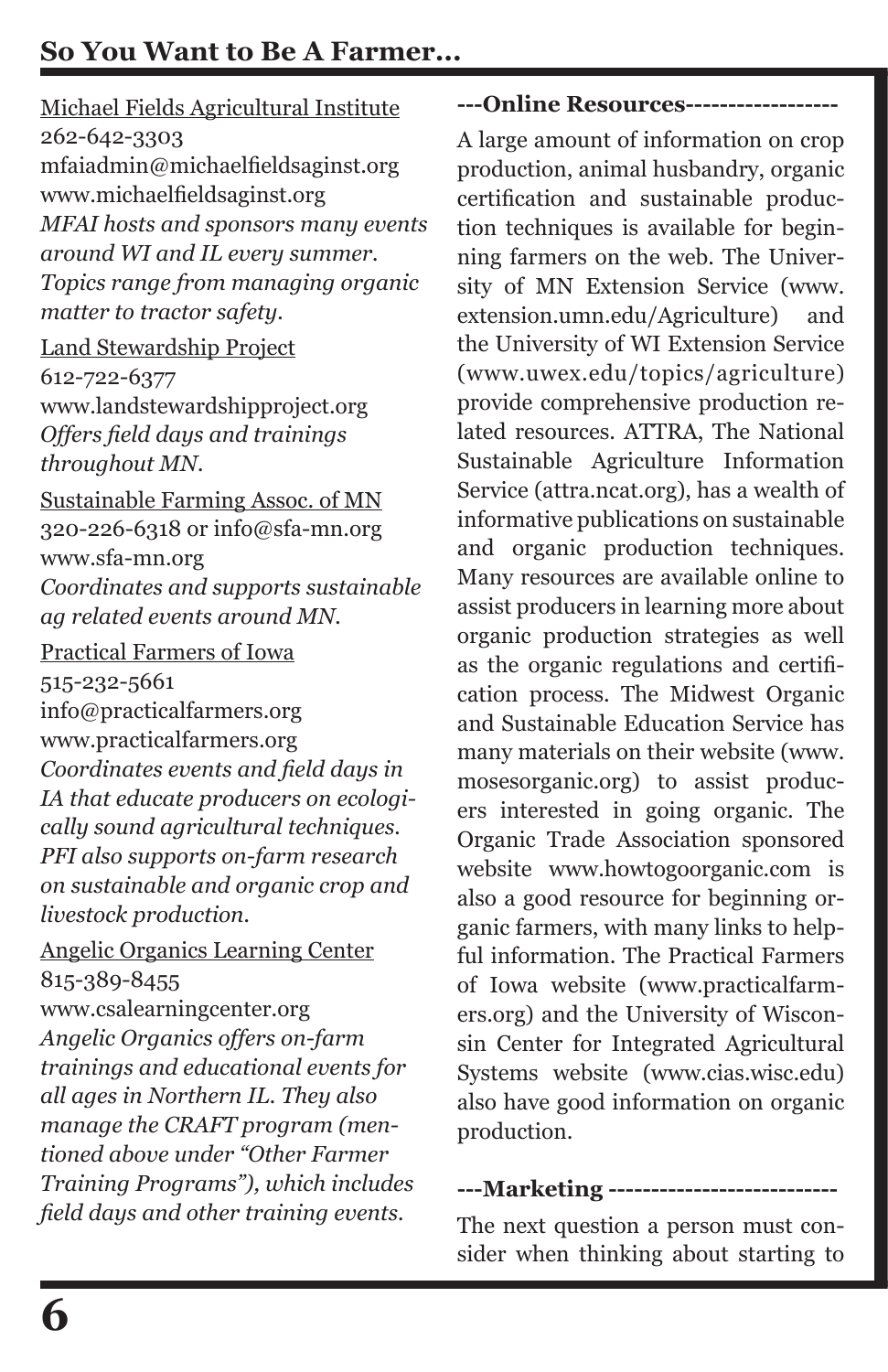Michael Fields Agricultural Institute 262-642-3303 mfaiadmin@michaelfieldsaginst.org www.michaelfieldsaginst.org *MFAI hosts and sponsors many events around WI and IL every summer. Topics range from managing organic matter to tractor safety.*

#### Land Stewardship Project

612-722-6377 www.landstewardshipproject.org *Offers field days and trainings throughout MN.* 

Sustainable Farming Assoc. of MN 320-226-6318 or info@sfa-mn.org www.sfa-mn.org *Coordinates and supports sustainable ag related events around MN.* 

Practical Farmers of Iowa 515-232-5661 info@practicalfarmers.org www.practicalfarmers.org *Coordinates events and field days in IA that educate producers on ecologically sound agricultural techniques. PFI also supports on-farm research on sustainable and organic crop and livestock production.*

Angelic Organics Learning Center 815-389-8455 www.csalearningcenter.org *Angelic Organics offers on-farm trainings and educational events for all ages in Northern IL. They also manage the CRAFT program (mentioned above under "Other Farmer Training Programs"), which includes field days and other training events.*

#### **---Online Resources------------------**

A large amount of information on crop production, animal husbandry, organic certification and sustainable production techniques is available for beginning farmers on the web. The University of MN Extension Service (www. extension.umn.edu/Agriculture) and the University of WI Extension Service (www.uwex.edu/topics/agriculture) provide comprehensive production related resources. ATTRA, The National Sustainable Agriculture Information Service (attra.ncat.org), has a wealth of informative publications on sustainable and organic production techniques. Many resources are available online to assist producers in learning more about organic production strategies as well as the organic regulations and certification process. The Midwest Organic and Sustainable Education Service has many materials on their website (www. mosesorganic.org) to assist producers interested in going organic. The Organic Trade Association sponsored website www.howtogoorganic.com is also a good resource for beginning organic farmers, with many links to helpful information. The Practical Farmers of Iowa website (www.practicalfarmers.org) and the University of Wisconsin Center for Integrated Agricultural Systems website (www.cias.wisc.edu) also have good information on organic production.

## **---Marketing ---------------------------**

The next question a person must consider when thinking about starting to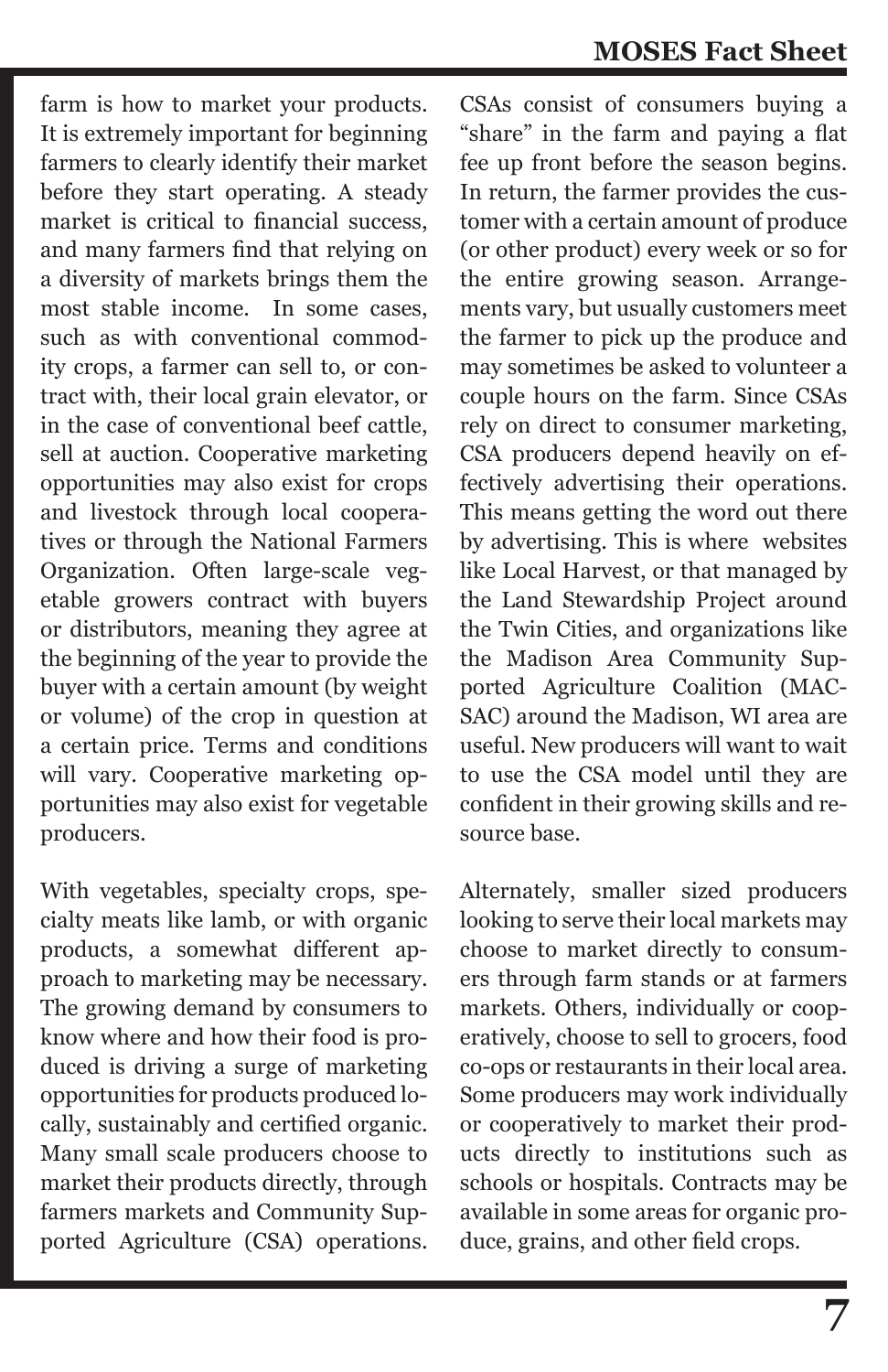farm is how to market your products. It is extremely important for beginning farmers to clearly identify their market before they start operating. A steady market is critical to financial success, and many farmers find that relying on a diversity of markets brings them the most stable income. In some cases, such as with conventional commodity crops, a farmer can sell to, or contract with, their local grain elevator, or in the case of conventional beef cattle, sell at auction. Cooperative marketing opportunities may also exist for crops and livestock through local cooperatives or through the National Farmers Organization. Often large-scale vegetable growers contract with buyers or distributors, meaning they agree at the beginning of the year to provide the buyer with a certain amount (by weight or volume) of the crop in question at a certain price. Terms and conditions will vary. Cooperative marketing opportunities may also exist for vegetable producers.

With vegetables, specialty crops, specialty meats like lamb, or with organic products, a somewhat different approach to marketing may be necessary. The growing demand by consumers to know where and how their food is produced is driving a surge of marketing opportunities for products produced locally, sustainably and certified organic. Many small scale producers choose to market their products directly, through farmers markets and Community Supported Agriculture (CSA) operations. CSAs consist of consumers buying a "share" in the farm and paying a flat fee up front before the season begins. In return, the farmer provides the customer with a certain amount of produce (or other product) every week or so for the entire growing season. Arrangements vary, but usually customers meet the farmer to pick up the produce and may sometimes be asked to volunteer a couple hours on the farm. Since CSAs rely on direct to consumer marketing, CSA producers depend heavily on effectively advertising their operations. This means getting the word out there by advertising. This is where websites like Local Harvest, or that managed by the Land Stewardship Project around the Twin Cities, and organizations like the Madison Area Community Supported Agriculture Coalition (MAC-SAC) around the Madison, WI area are useful. New producers will want to wait to use the CSA model until they are confident in their growing skills and resource base.

Alternately, smaller sized producers looking to serve their local markets may choose to market directly to consumers through farm stands or at farmers markets. Others, individually or cooperatively, choose to sell to grocers, food co-ops or restaurants in their local area. Some producers may work individually or cooperatively to market their products directly to institutions such as schools or hospitals. Contracts may be available in some areas for organic produce, grains, and other field crops.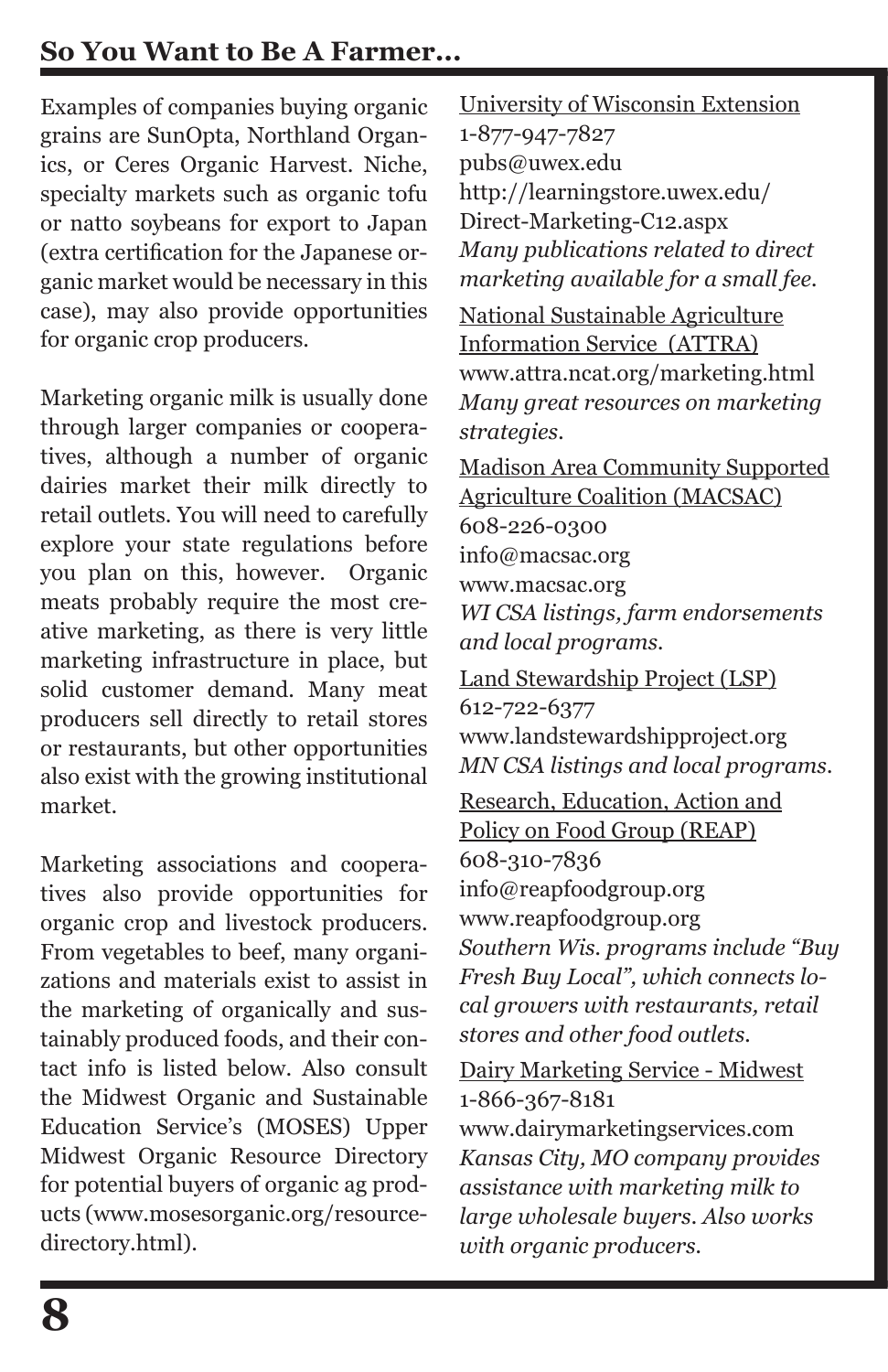# **So You Want to Be A Farmer...**

Examples of companies buying organic grains are SunOpta, Northland Organics, or Ceres Organic Harvest. Niche, specialty markets such as organic tofu or natto soybeans for export to Japan (extra certification for the Japanese organic market would be necessary in this case), may also provide opportunities for organic crop producers.

Marketing organic milk is usually done through larger companies or cooperatives, although a number of organic dairies market their milk directly to retail outlets. You will need to carefully explore your state regulations before you plan on this, however. Organic meats probably require the most creative marketing, as there is very little marketing infrastructure in place, but solid customer demand. Many meat producers sell directly to retail stores or restaurants, but other opportunities also exist with the growing institutional market.

Marketing associations and cooperatives also provide opportunities for organic crop and livestock producers. From vegetables to beef, many organizations and materials exist to assist in the marketing of organically and sustainably produced foods, and their contact info is listed below. Also consult the Midwest Organic and Sustainable Education Service's (MOSES) Upper Midwest Organic Resource Directory for potential buyers of organic ag products (www.mosesorganic.org/resourcedirectory.html).

University of Wisconsin Extension 1-877-947-7827 pubs@uwex.edu http://learningstore.uwex.edu/ Direct-Marketing-C12.aspx *Many publications related to direct marketing available for a small fee.* National Sustainable Agriculture Information Service (ATTRA) www.attra.ncat.org/marketing.html *Many great resources on marketing strategies.*  Madison Area Community Supported Agriculture Coalition (MACSAC) 608-226-0300 info@macsac.org www.macsac.org *WI CSA listings, farm endorsements and local programs.*  Land Stewardship Project (LSP) 612-722-6377 www.landstewardshipproject.org *MN CSA listings and local programs.* Research, Education, Action and Policy on Food Group (REAP) 608-310-7836 info@reapfoodgroup.org www.reapfoodgroup.org *Southern Wis. programs include "Buy Fresh Buy Local", which connects local growers with restaurants, retail stores and other food outlets.* Dairy Marketing Service - Midwest 1-866-367-8181 www.dairymarketingservices.com *Kansas City, MO company provides* 

*assistance with marketing milk to large wholesale buyers. Also works with organic producers.*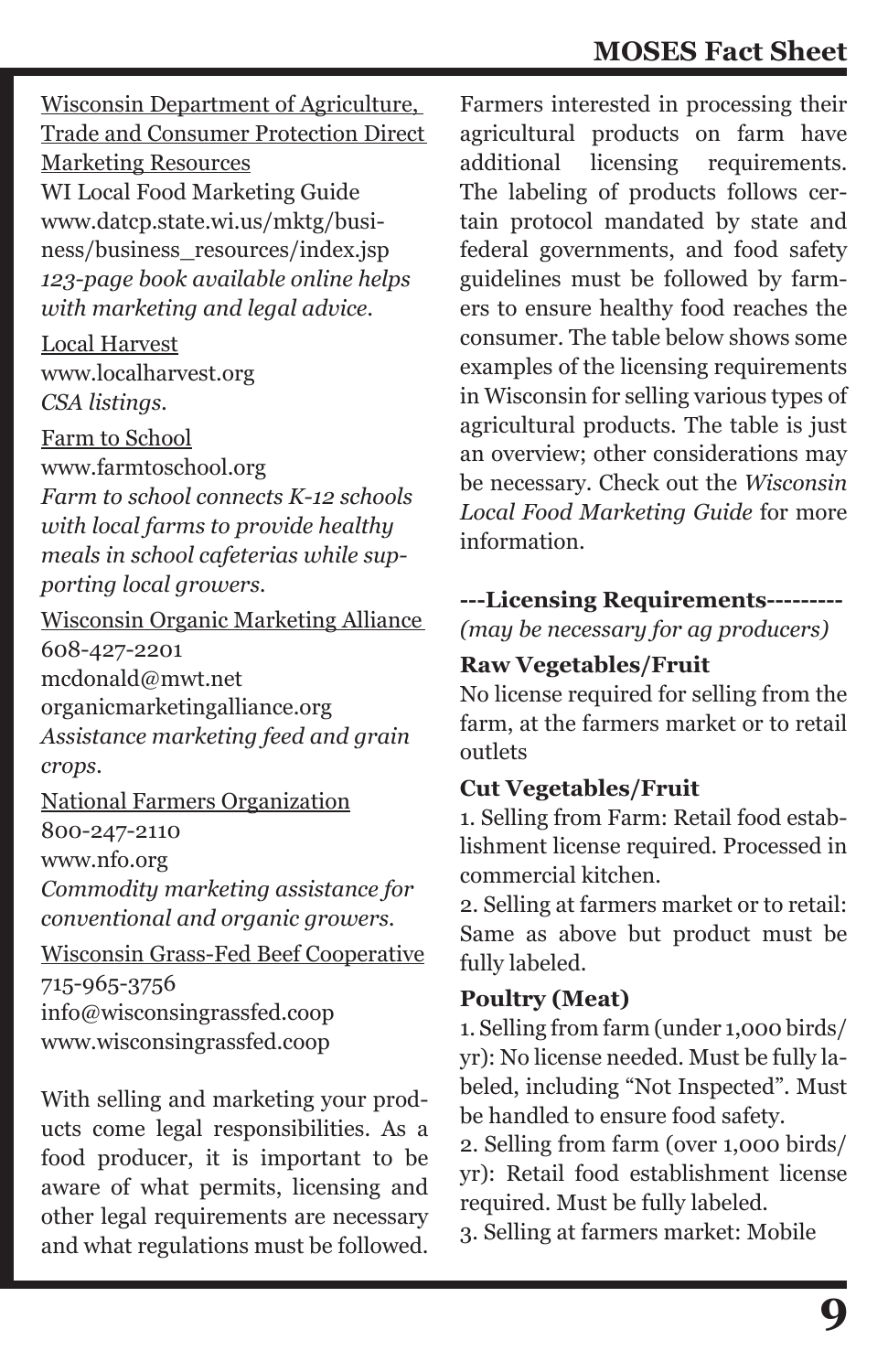Wisconsin Department of Agriculture, Trade and Consumer Protection Direct Marketing Resources WI Local Food Marketing Guide www.datcp.state.wi.us/mktg/busi-

ness/business\_resources/index.jsp *123-page book available online helps with marketing and legal advice.*

Local Harvest www.localharvest.org *CSA listings.*

#### Farm to School

www.farmtoschool.org *Farm to school connects K-12 schools with local farms to provide healthy meals in school cafeterias while supporting local growers.*

Wisconsin Organic Marketing Alliance 608-427-2201 mcdonald@mwt.net organicmarketingalliance.org *Assistance marketing feed and grain crops.*

National Farmers Organization 800-247-2110 www.nfo.org *Commodity marketing assistance for conventional and organic growers.*

Wisconsin Grass-Fed Beef Cooperative 715-965-3756 info@wisconsingrassfed.coop www.wisconsingrassfed.coop

With selling and marketing your products come legal responsibilities. As a food producer, it is important to be aware of what permits, licensing and other legal requirements are necessary and what regulations must be followed. Farmers interested in processing their agricultural products on farm have additional licensing requirements. The labeling of products follows certain protocol mandated by state and federal governments, and food safety guidelines must be followed by farmers to ensure healthy food reaches the consumer. The table below shows some examples of the licensing requirements in Wisconsin for selling various types of agricultural products. The table is just an overview; other considerations may be necessary. Check out the *Wisconsin Local Food Marketing Guide* for more information.

#### **---Licensing Requirements---------**

*(may be necessary for ag producers)*

#### **Raw Vegetables/Fruit**

No license required for selling from the farm, at the farmers market or to retail outlets

## **Cut Vegetables/Fruit**

1. Selling from Farm: Retail food establishment license required. Processed in commercial kitchen.

2. Selling at farmers market or to retail: Same as above but product must be fully labeled.

#### **Poultry (Meat)**

1. Selling from farm (under 1,000 birds/ yr): No license needed. Must be fully labeled, including "Not Inspected". Must be handled to ensure food safety.

2. Selling from farm (over 1,000 birds/ yr): Retail food establishment license required. Must be fully labeled.

3. Selling at farmers market: Mobile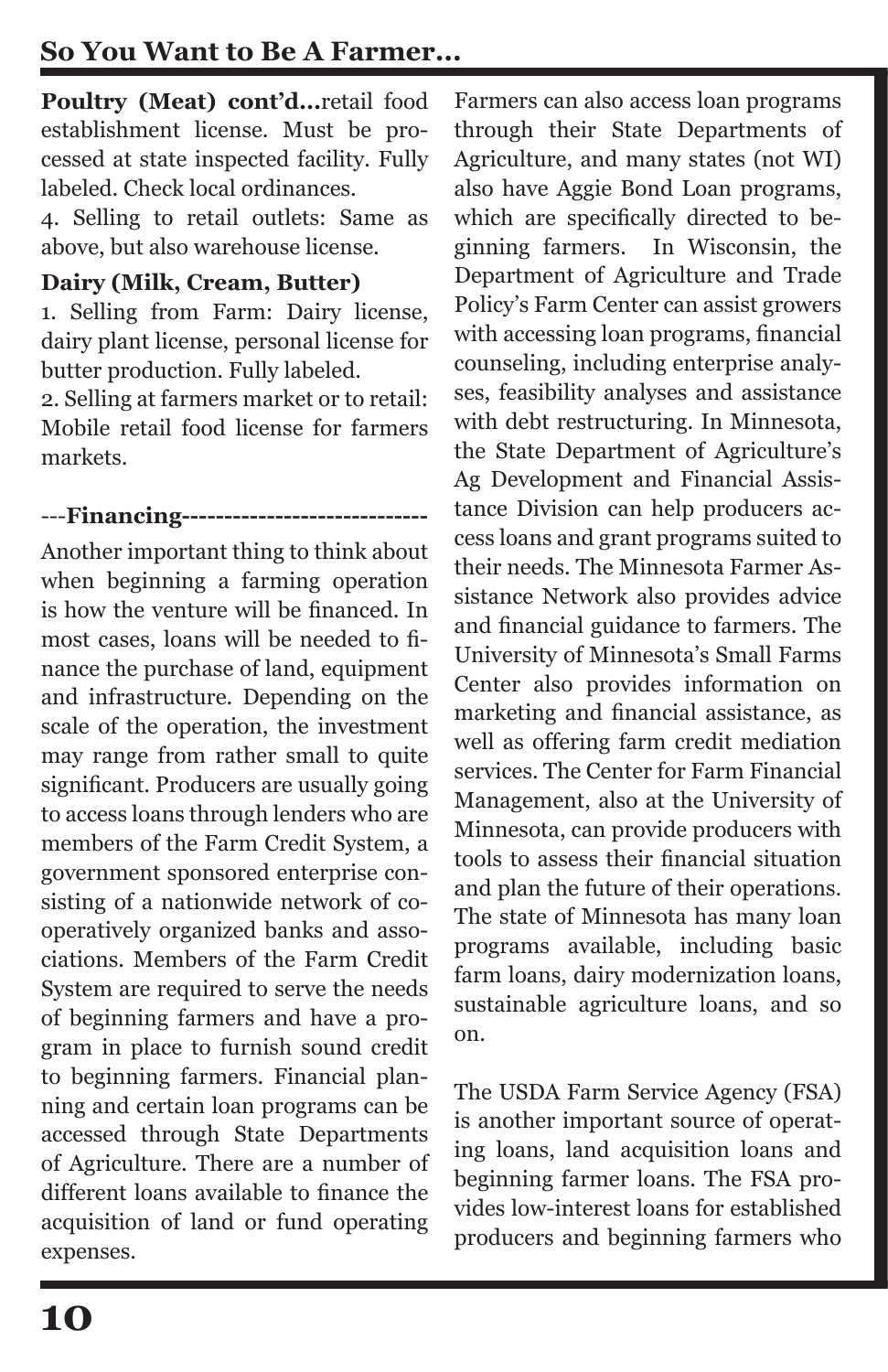**Poultry (Meat) cont'd...**retail food establishment license. Must be processed at state inspected facility. Fully labeled. Check local ordinances.

4. Selling to retail outlets: Same as above, but also warehouse license.

## **Dairy (Milk, Cream, Butter)**

1. Selling from Farm: Dairy license, dairy plant license, personal license for butter production. Fully labeled.

2. Selling at farmers market or to retail: Mobile retail food license for farmers markets.

#### ---**Financing-----------------------------**

Another important thing to think about when beginning a farming operation is how the venture will be financed. In most cases, loans will be needed to finance the purchase of land, equipment and infrastructure. Depending on the scale of the operation, the investment may range from rather small to quite significant. Producers are usually going to access loans through lenders who are members of the Farm Credit System, a government sponsored enterprise consisting of a nationwide network of cooperatively organized banks and associations. Members of the Farm Credit System are required to serve the needs of beginning farmers and have a program in place to furnish sound credit to beginning farmers. Financial planning and certain loan programs can be accessed through State Departments of Agriculture. There are a number of different loans available to finance the acquisition of land or fund operating expenses.

Farmers can also access loan programs through their State Departments of Agriculture, and many states (not WI) also have Aggie Bond Loan programs, which are specifically directed to beginning farmers. In Wisconsin, the Department of Agriculture and Trade Policy's Farm Center can assist growers with accessing loan programs, financial counseling, including enterprise analyses, feasibility analyses and assistance with debt restructuring. In Minnesota, the State Department of Agriculture's Ag Development and Financial Assistance Division can help producers access loans and grant programs suited to their needs. The Minnesota Farmer Assistance Network also provides advice and financial guidance to farmers. The University of Minnesota's Small Farms Center also provides information on marketing and financial assistance, as well as offering farm credit mediation services. The Center for Farm Financial Management, also at the University of Minnesota, can provide producers with tools to assess their financial situation and plan the future of their operations. The state of Minnesota has many loan programs available, including basic farm loans, dairy modernization loans, sustainable agriculture loans, and so on.

The USDA Farm Service Agency (FSA) is another important source of operating loans, land acquisition loans and beginning farmer loans. The FSA provides low-interest loans for established producers and beginning farmers who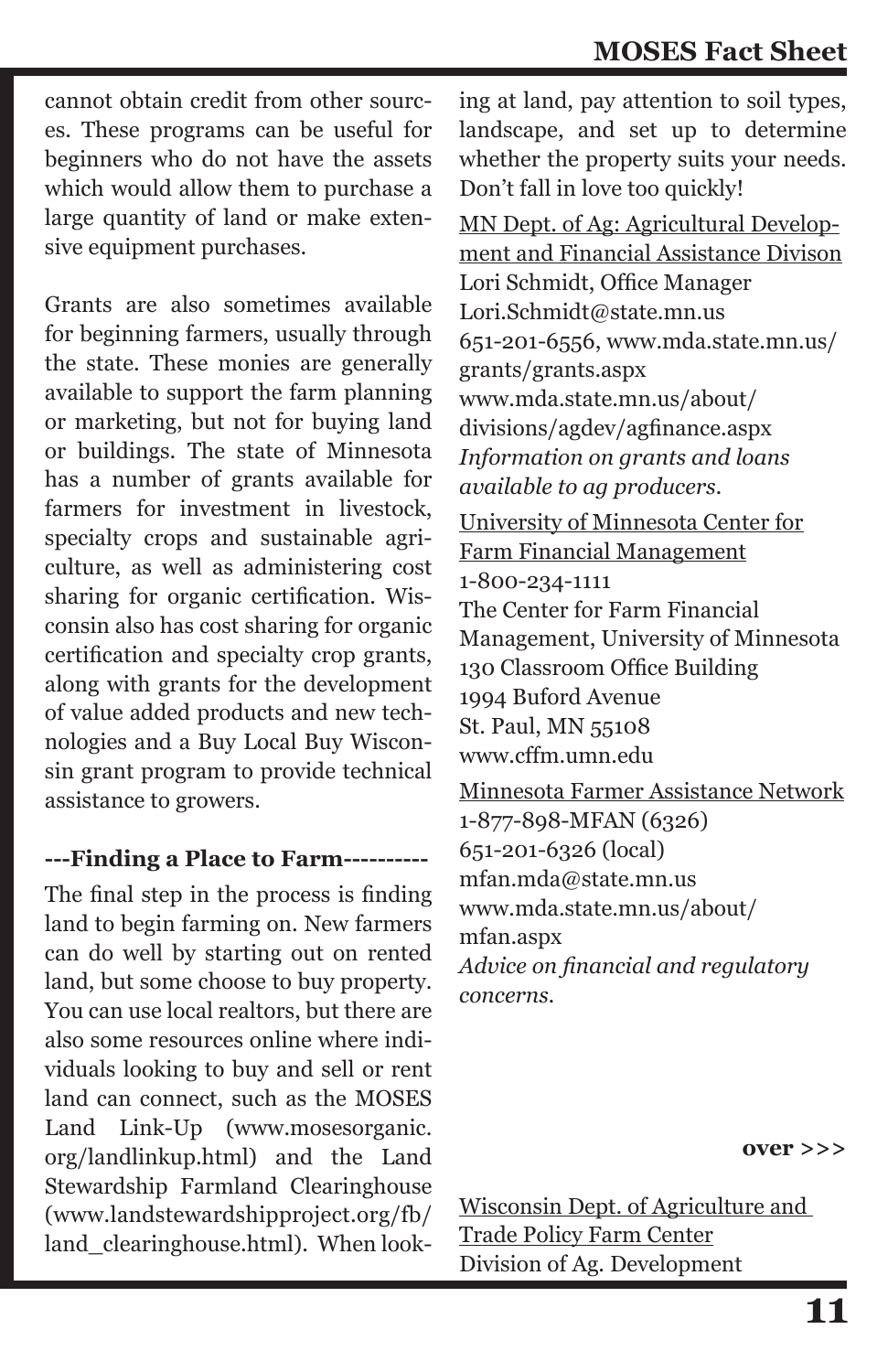cannot obtain credit from other sources. These programs can be useful for beginners who do not have the assets which would allow them to purchase a large quantity of land or make extensive equipment purchases.

Grants are also sometimes available for beginning farmers, usually through the state. These monies are generally available to support the farm planning or marketing, but not for buying land or buildings. The state of Minnesota has a number of grants available for farmers for investment in livestock, specialty crops and sustainable agriculture, as well as administering cost sharing for organic certification. Wisconsin also has cost sharing for organic certification and specialty crop grants, along with grants for the development of value added products and new technologies and a Buy Local Buy Wisconsin grant program to provide technical assistance to growers.

#### **---Finding a Place to Farm----------**

The final step in the process is finding land to begin farming on. New farmers can do well by starting out on rented land, but some choose to buy property. You can use local realtors, but there are also some resources online where individuals looking to buy and sell or rent land can connect, such as the MOSES Land Link-Up (www.mosesorganic. org/landlinkup.html) and the Land Stewardship Farmland Clearinghouse (www.landstewardshipproject.org/fb/ land\_clearinghouse.html). When looking at land, pay attention to soil types, landscape, and set up to determine whether the property suits your needs. Don't fall in love too quickly!

MN Dept. of Ag: Agricultural Development and Financial Assistance Divison Lori Schmidt, Office Manager Lori.Schmidt@state.mn.us 651-201-6556, www.mda.state.mn.us/ grants/grants.aspx www.mda.state.mn.us/about/ divisions/agdev/agfinance.aspx *Information on grants and loans available to ag producers.*  University of Minnesota Center for

Farm Financial Management 1-800-234-1111 The Center for Farm Financial Management, University of Minnesota 130 Classroom Office Building 1994 Buford Avenue St. Paul, MN 55108 www.cffm.umn.edu Minnesota Farmer Assistance Network 1-877-898-MFAN (6326) 651-201-6326 (local) mfan.mda@state.mn.us www.mda.state.mn.us/about/ mfan.aspx

*Advice on financial and regulatory concerns.*

**over >>>**

Wisconsin Dept. of Agriculture and Trade Policy Farm Center Division of Ag. Development